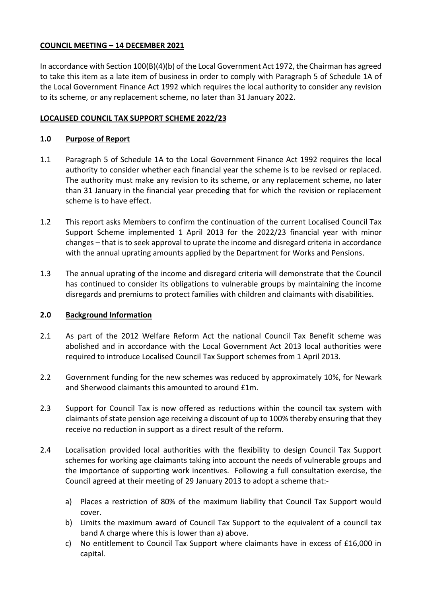## **COUNCIL MEETING – 14 DECEMBER 2021**

In accordance with Section 100(B)(4)(b) of the Local Government Act 1972, the Chairman has agreed to take this item as a late item of business in order to comply with Paragraph 5 of Schedule 1A of the Local Government Finance Act 1992 which requires the local authority to consider any revision to its scheme, or any replacement scheme, no later than 31 January 2022.

## **LOCALISED COUNCIL TAX SUPPORT SCHEME 2022/23**

### **1.0 Purpose of Report**

- 1.1 Paragraph 5 of Schedule 1A to the Local Government Finance Act 1992 requires the local authority to consider whether each financial year the scheme is to be revised or replaced. The authority must make any revision to its scheme, or any replacement scheme, no later than 31 January in the financial year preceding that for which the revision or replacement scheme is to have effect.
- 1.2 This report asks Members to confirm the continuation of the current Localised Council Tax Support Scheme implemented 1 April 2013 for the 2022/23 financial year with minor changes – that is to seek approval to uprate the income and disregard criteria in accordance with the annual uprating amounts applied by the Department for Works and Pensions.
- 1.3 The annual uprating of the income and disregard criteria will demonstrate that the Council has continued to consider its obligations to vulnerable groups by maintaining the income disregards and premiums to protect families with children and claimants with disabilities.

#### **2.0 Background Information**

- 2.1 As part of the 2012 Welfare Reform Act the national Council Tax Benefit scheme was abolished and in accordance with the Local Government Act 2013 local authorities were required to introduce Localised Council Tax Support schemes from 1 April 2013.
- 2.2 Government funding for the new schemes was reduced by approximately 10%, for Newark and Sherwood claimants this amounted to around £1m.
- 2.3 Support for Council Tax is now offered as reductions within the council tax system with claimants of state pension age receiving a discount of up to 100% thereby ensuring that they receive no reduction in support as a direct result of the reform.
- 2.4 Localisation provided local authorities with the flexibility to design Council Tax Support schemes for working age claimants taking into account the needs of vulnerable groups and the importance of supporting work incentives. Following a full consultation exercise, the Council agreed at their meeting of 29 January 2013 to adopt a scheme that:
	- a) Places a restriction of 80% of the maximum liability that Council Tax Support would cover.
	- b) Limits the maximum award of Council Tax Support to the equivalent of a council tax band A charge where this is lower than a) above.
	- c) No entitlement to Council Tax Support where claimants have in excess of £16,000 in capital.